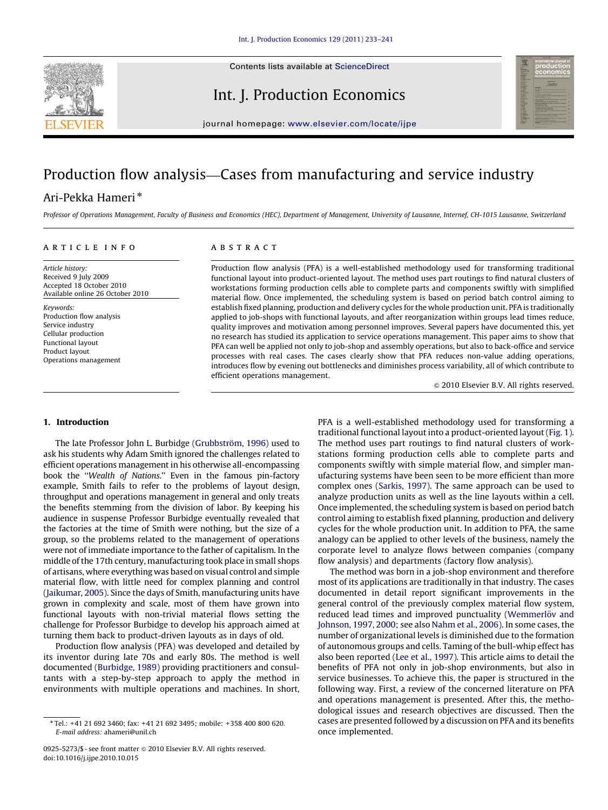

Contents lists available at ScienceDirect

## Int. J. Production Economics



journal homepage: <www.elsevier.com/locate/ijpe>

## Production flow analysis—Cases from manufacturing and service industry

### Ari-Pekka Hameri\*

Professor of Operations Management, Faculty of Business and Economics (HEC), Department of Management, University of Lausanne, Internef, CH-1015 Lausanne, Switzerland

#### article info

Article history: Received 9 July 2009 Accepted 18 October 2010 Available online 26 October 2010

Keywords: Production flow analysis Service industry Cellular production Functional layout Product layout Operations management

#### **ABSTRACT**

Production flow analysis (PFA) is a well-established methodology used for transforming traditional functional layout into product-oriented layout. The method uses part routings to find natural clusters of workstations forming production cells able to complete parts and components swiftly with simplified material flow. Once implemented, the scheduling system is based on period batch control aiming to establish fixed planning, production and delivery cycles for the whole production unit. PFA is traditionally applied to job-shops with functional layouts, and after reorganization within groups lead times reduce, quality improves and motivation among personnel improves. Several papers have documented this, yet no research has studied its application to service operations management. This paper aims to show that PFA can well be applied not only to job-shop and assembly operations, but also to back-office and service processes with real cases. The cases clearly show that PFA reduces non-value adding operations, introduces flow by evening out bottlenecks and diminishes process variability, all of which contribute to efficient operations management.

 $©$  2010 Elsevier B.V. All rights reserved.

#### 1. Introduction

The late Professor John L. Burbidge (Grubbström, 1996) used to ask his students why Adam Smith ignored the challenges related to efficient operations management in his otherwise all-encompassing book the ''Wealth of Nations.'' Even in the famous pin-factory example, Smith fails to refer to the problems of layout design, throughput and operations management in general and only treats the benefits stemming from the division of labor. By keeping his audience in suspense Professor Burbidge eventually revealed that the factories at the time of Smith were nothing, but the size of a group, so the problems related to the management of operations were not of immediate importance to the father of capitalism. In the middle of the 17th century, manufacturing took place in small shops of artisans, where everything was based on visual control and simple material flow, with little need for complex planning and control ([Jaikumar, 2005\)](#page--1-0). Since the days of Smith, manufacturing units have grown in complexity and scale, most of them have grown into functional layouts with non-trivial material flows setting the challenge for Professor Burbidge to develop his approach aimed at turning them back to product-driven layouts as in days of old.

Production flow analysis (PFA) was developed and detailed by its inventor during late 70s and early 80s. The method is well documented ([Burbidge, 1989\)](#page--1-0) providing practitioners and consultants with a step-by-step approach to apply the method in environments with multiple operations and machines. In short, PFA is a well-established methodology used for transforming a traditional functional layout into a product-oriented layout ([Fig. 1\)](#page-1-0). The method uses part routings to find natural clusters of workstations forming production cells able to complete parts and components swiftly with simple material flow, and simpler manufacturing systems have been seen to be more efficient than more complex ones [\(Sarkis, 1997](#page--1-0)). The same approach can be used to analyze production units as well as the line layouts within a cell. Once implemented, the scheduling system is based on period batch control aiming to establish fixed planning, production and delivery cycles for the whole production unit. In addition to PFA, the same analogy can be applied to other levels of the business, namely the corporate level to analyze flows between companies (company flow analysis) and departments (factory flow analysis).

The method was born in a job-shop environment and therefore most of its applications are traditionally in that industry. The cases documented in detail report significant improvements in the general control of the previously complex material flow system, reduced lead times and improved punctuality (Wemmerlöv and [Johnson, 1997, 2000;](#page--1-0) see also [Nahm et al., 2006\)](#page--1-0). In some cases, the number of organizational levels is diminished due to the formation of autonomous groups and cells. Taming of the bull-whip effect has also been reported ([Lee et al., 1997](#page--1-0)). This article aims to detail the benefits of PFA not only in job-shop environments, but also in service businesses. To achieve this, the paper is structured in the following way. First, a review of the concerned literature on PFA and operations management is presented. After this, the methodological issues and research objectives are discussed. Then the cases are presented followed by a discussion on PFA and its benefits once implemented.

<sup>n</sup> Tel.: +41 21 692 3460; fax: +41 21 692 3495; mobile: +358 400 800 620. E-mail address: [ahameri@unil.ch](mailto:ahameri@unil.ch)

<sup>0925-5273/\$ -</sup> see front matter  $\odot$  2010 Elsevier B.V. All rights reserved. doi:[10.1016/j.ijpe.2010.10.015](dx.doi.org/10.1016/j.ijpe.2010.10.015)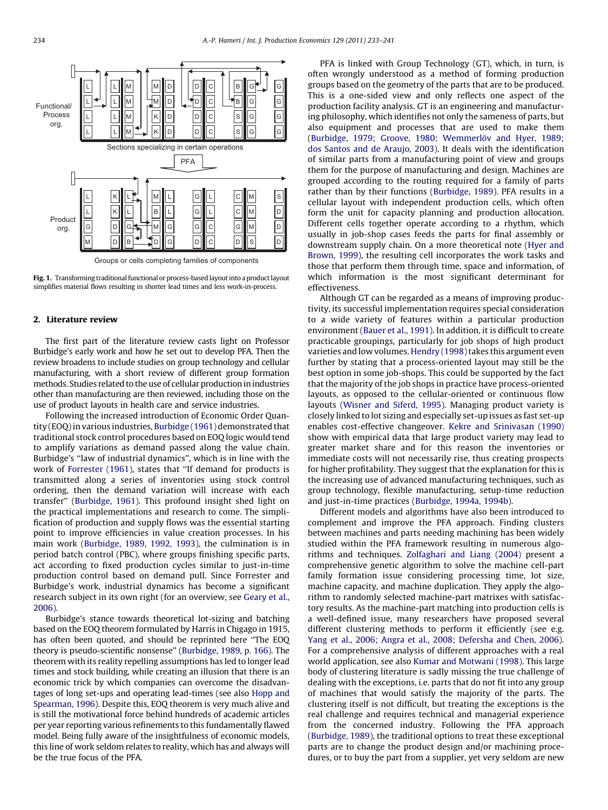<span id="page-1-0"></span>

Fig. 1. Transforming traditional functional or process-based layout into a product layout simplifies material flows resulting in shorter lead times and less work-in-process.

#### 2. Literature review

The first part of the literature review casts light on Professor Burbidge's early work and how he set out to develop PFA. Then the review broadens to include studies on group technology and cellular manufacturing, with a short review of different group formation methods. Studies related to the use of cellular production in industries other than manufacturing are then reviewed, including those on the use of product layouts in health care and service industries.

Following the increased introduction of Economic Order Quantity (EOQ) in various industries, [Burbidge \(1961\)](#page--1-0) demonstrated that traditional stock control procedures based on EOQ logic would tend to amplify variations as demand passed along the value chain. Burbidge's ''law of industrial dynamics'', which is in line with the work of [Forrester \(1961\),](#page--1-0) states that ''If demand for products is transmitted along a series of inventories using stock control ordering, then the demand variation will increase with each transfer'' [\(Burbidge, 1961\)](#page--1-0). This profound insight shed light on the practical implementations and research to come. The simplification of production and supply flows was the essential starting point to improve efficiencies in value creation processes. In his main work [\(Burbidge, 1989, 1992, 1993\)](#page--1-0), the culmination is in period batch control (PBC), where groups finishing specific parts, act according to fixed production cycles similar to just-in-time production control based on demand pull. Since Forrester and Burbidge's work, industrial dynamics has become a significant research subject in its own right (for an overview, see [Geary et al.,](#page--1-0) [2006\)](#page--1-0).

Burbidge's stance towards theoretical lot-sizing and batching based on the EOQ theorem formulated by Harris in Chigago in 1915, has often been quoted, and should be reprinted here ''The EOQ theory is pseudo-scientific nonsense'' [\(Burbidge, 1989, p. 166\)](#page--1-0). The theorem with its reality repelling assumptions has led to longer lead times and stock building, while creating an illusion that there is an economic trick by which companies can overcome the disadvantages of long set-ups and operating lead-times (see also [Hopp and](#page--1-0) [Spearman, 1996](#page--1-0)). Despite this, EOQ theorem is very much alive and is still the motivational force behind hundreds of academic articles per year reporting various refinements to this fundamentally flawed model. Being fully aware of the insightfulness of economic models, this line of work seldom relates to reality, which has and always will be the true focus of the PFA.

PFA is linked with Group Technology (GT), which, in turn, is often wrongly understood as a method of forming production groups based on the geometry of the parts that are to be produced. This is a one-sided view and only reflects one aspect of the production facility analysis. GT is an engineering and manufacturing philosophy, which identifies not only the sameness of parts, but also equipment and processes that are used to make them (Burbidge, 1979; Groove, 1980; Wemmerlöv and Hyer, 1989; [dos Santos and de Araujo, 2003](#page--1-0)). It deals with the identification of similar parts from a manufacturing point of view and groups them for the purpose of manufacturing and design. Machines are grouped according to the routing required for a family of parts rather than by their functions ([Burbidge, 1989](#page--1-0)). PFA results in a cellular layout with independent production cells, which often form the unit for capacity planning and production allocation. Different cells together operate according to a rhythm, which usually in job-shop cases feeds the parts for final assembly or downstream supply chain. On a more theoretical note [\(Hyer and](#page--1-0) [Brown, 1999\)](#page--1-0), the resulting cell incorporates the work tasks and those that perform them through time, space and information, of which information is the most significant determinant for effectiveness.

Although GT can be regarded as a means of improving productivity, its successful implementation requires special consideration to a wide variety of features within a particular production environment [\(Bauer et al., 1991\)](#page--1-0). In addition, it is difficult to create practicable groupings, particularly for job shops of high product varieties and low volumes. [Hendry \(1998\)](#page--1-0) takes this argument even further by stating that a process-oriented layout may still be the best option in some job-shops. This could be supported by the fact that the majority of the job shops in practice have process-oriented layouts, as opposed to the cellular-oriented or continuous flow layouts [\(Wisner and Siferd, 1995](#page--1-0)). Managing product variety is closely linked to lot sizing and especially set-up issues as fast set-up enables cost-effective changeover. [Kekre and Srinivasan \(1990\)](#page--1-0) show with empirical data that large product variety may lead to greater market share and for this reason the inventories or immediate costs will not necessarily rise, thus creating prospects for higher profitability. They suggest that the explanation for this is the increasing use of advanced manufacturing techniques, such as group technology, flexible manufacturing, setup-time reduction and just-in-time practices ([Burbidge, 1994a, 1994b\)](#page--1-0).

Different models and algorithms have also been introduced to complement and improve the PFA approach. Finding clusters between machines and parts needing machining has been widely studied within the PFA framework resulting in numerous algorithms and techniques. [Zolfaghari and Liang \(2004\)](#page--1-0) present a comprehensive genetic algorithm to solve the machine cell-part family formation issue considering processing time, lot size, machine capacity, and machine duplication. They apply the algorithm to randomly selected machine-part matrixes with satisfactory results. As the machine-part matching into production cells is a well-defined issue, many researchers have proposed several different clustering methods to perform it efficiently (see e.g. [Yang et al., 2006; Angra et al., 2008; Defersha and Chen, 2006\)](#page--1-0). For a comprehensive analysis of different approaches with a real world application, see also [Kumar and Motwani \(1998\).](#page--1-0) This large body of clustering literature is sadly missing the true challenge of dealing with the exceptions, i.e. parts that do not fit into any group of machines that would satisfy the majority of the parts. The clustering itself is not difficult, but treating the exceptions is the real challenge and requires technical and managerial experience from the concerned industry. Following the PFA approach ([Burbidge, 1989](#page--1-0)), the traditional options to treat these exceptional parts are to change the product design and/or machining procedures, or to buy the part from a supplier, yet very seldom are new